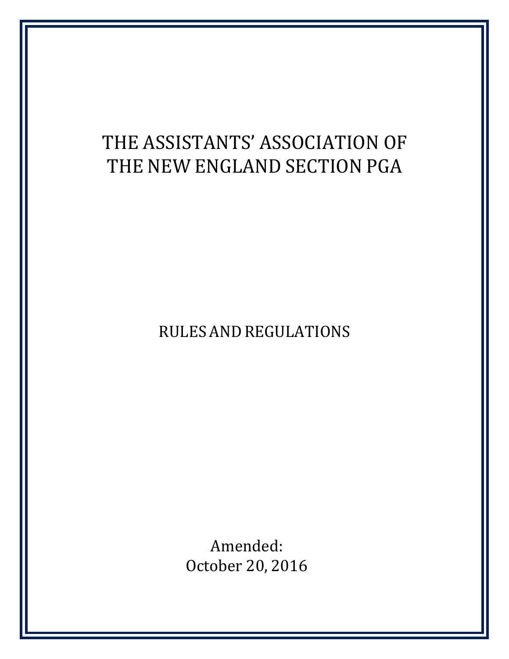# THE ASSISTANTS' ASSOCIATION OF THE NEW ENGLAND SECTION PGA

RULES AND REGULATIONS

Amended: October 20, 2016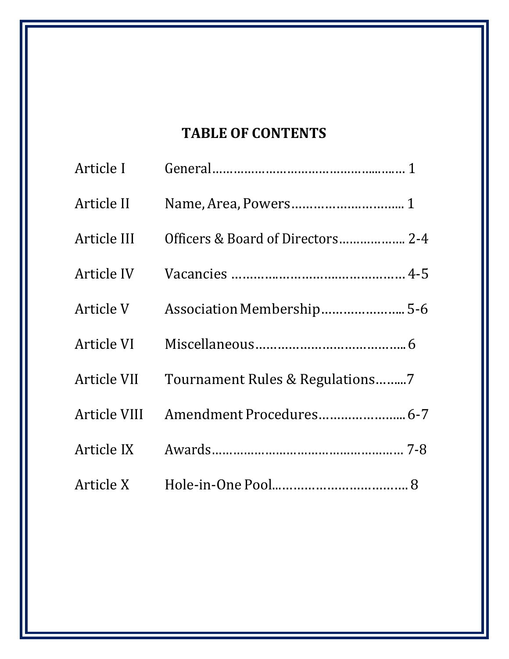## **TABLE OF CONTENTS**

| Article III Officers & Board of Directors 2-4 |  |
|-----------------------------------------------|--|
|                                               |  |
|                                               |  |
|                                               |  |
| Article VII Tournament Rules & Regulations7   |  |
|                                               |  |
|                                               |  |
|                                               |  |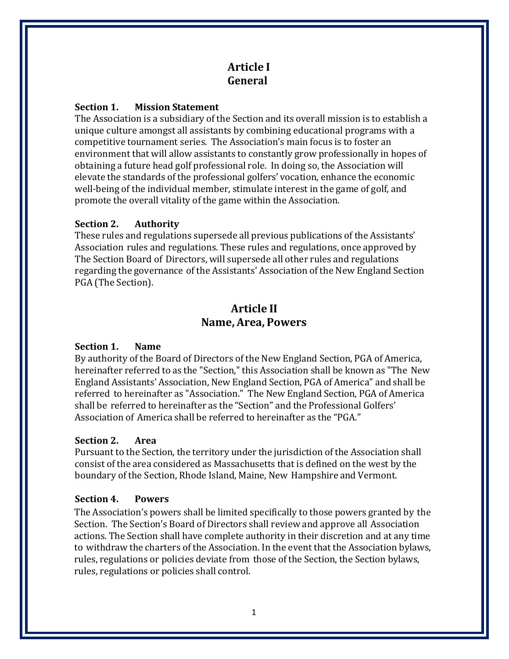## **Article I General**

#### **Section 1. Mission Statement**

The Association is a subsidiary of the Section and its overall mission is to establish a unique culture amongst all assistants by combining educational programs with a competitive tournament series. The Association's main focus is to foster an environment that will allow assistants to constantly grow professionally in hopes of obtaining a future head golf professional role. In doing so, the Association will elevate the standards of the professional golfers' vocation, enhance the economic well-being of the individual member, stimulate interest in the game of golf, and promote the overall vitality of the game within the Association.

#### **Section 2. Authority**

These rules and regulations supersede all previous publications of the Assistants' Association rules and regulations. These rules and regulations, once approved by The Section Board of Directors, will supersede all other rules and regulations regarding the governance of the Assistants' Association of the New England Section PGA (The Section).

## **Article II Name, Area, Powers**

#### **Section 1. Name**

By authority of the Board of Directors of the New England Section, PGA of America, hereinafter referred to as the "Section," this Association shall be known as "The New England Assistants' Association, New England Section, PGA of America" and shall be referred to hereinafter as "Association." The New England Section, PGA of America shall be referred to hereinafter as the "Section" and the Professional Golfers' Association of America shall be referred to hereinafter as the "PGA."

#### **Section 2. Area**

Pursuant to the Section, the territory under the jurisdiction of the Association shall consist of the area considered as Massachusetts that is defined on the west by the boundary of the Section, Rhode Island, Maine, New Hampshire and Vermont.

#### **Section 4. Powers**

The Association's powers shall be limited specifically to those powers granted by the Section. The Section's Board of Directors shall review and approve all Association actions. The Section shall have complete authority in their discretion and at any time to withdraw the charters of the Association. In the event that the Association bylaws, rules, regulations or policies deviate from those of the Section, the Section bylaws, rules, regulations or policies shall control.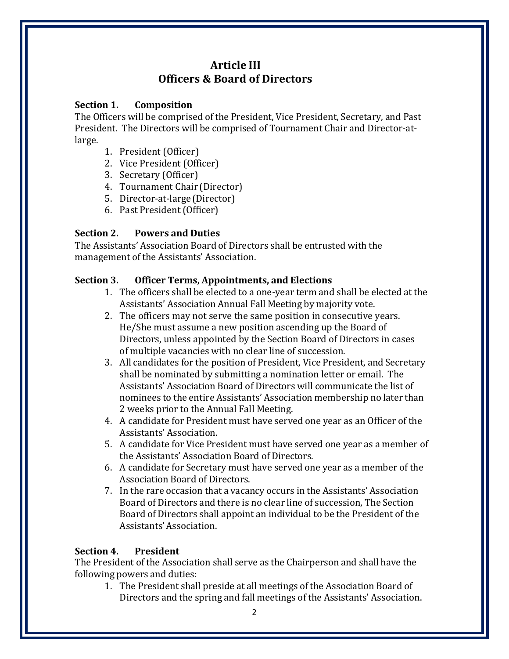## **Article III Officers & Board of Directors**

#### **Section 1. Composition**

The Officers will be comprised of the President, Vice President, Secretary, and Past President. The Directors will be comprised of Tournament Chair and Director-atlarge.

- 1. President (Officer)
- 2. Vice President (Officer)
- 3. Secretary (Officer)
- 4. Tournament Chair (Director)
- 5. Director‐at‐large (Director)
- 6. Past President(Officer)

#### **Section 2. Powers and Duties**

The Assistants' Association Board of Directors shall be entrusted with the management of the Assistants' Association.

#### **Section 3. Officer Terms, Appointments, and Elections**

- 1. The officers shall be elected to a one‐year term and shall be elected at the Assistants' Association Annual Fall Meeting by majority vote.
- 2. The officers may not serve the same position in consecutive years. He/She must assume a new position ascending up the Board of Directors, unless appointed by the Section Board of Directors in cases of multiple vacancies with no clear line of succession.
- 3. All candidates for the position of President, Vice President, and Secretary shall be nominated by submitting a nomination letter or email. The Assistants' Association Board of Directors will communicate the list of nominees to the entire Assistants' Association membership no later than 2 weeks prior to the Annual Fall Meeting.
- 4. A candidate for President must have served one year as an Officer of the Assistants' Association.
- 5. A candidate for Vice President must have served one year as a member of the Assistants' Association Board of Directors.
- 6. A candidate for Secretary must have served one year as a member of the Association Board of Directors.
- 7. In the rare occasion that a vacancy occurs in the Assistants' Association Board of Directors and there is no clear line of succession, The Section Board of Directors shall appoint an individual to be the President of the Assistants'Association.

#### **Section 4. President**

The President of the Association shall serve as the Chairperson and shall have the following powers and duties:

1. The President shall preside at all meetings of the Association Board of Directors and the spring and fall meetings of the Assistants' Association.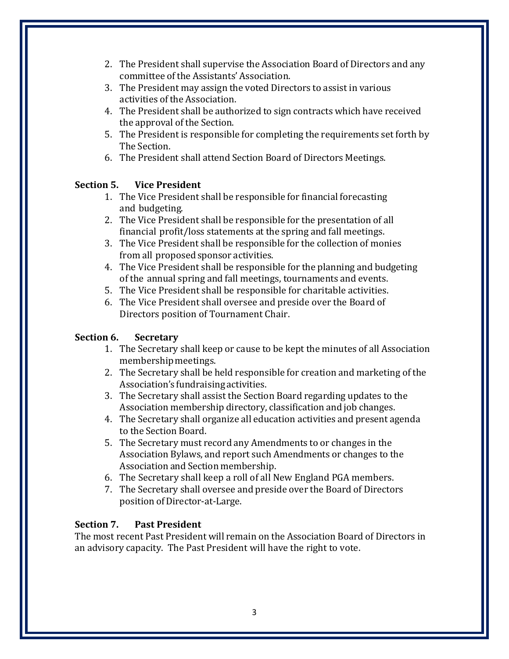- 2. The President shall supervise the Association Board of Directors and any committee of the Assistants' Association.
- 3. The President may assign the voted Directors to assist in various activities of the Association.
- 4. The President shall be authorized to sign contracts which have received the approval of the Section.
- 5. The President is responsible for completing the requirements set forth by The Section.
- 6. The President shall attend Section Board of Directors Meetings.

#### **Section 5. Vice President**

- 1. The Vice President shall be responsible for financial forecasting and budgeting.
- 2. The Vice President shall be responsible for the presentation of all financial profit/loss statements at the spring and fall meetings.
- 3. The Vice President shall be responsible for the collection of monies from all proposed sponsor activities.
- 4. The Vice President shall be responsible for the planning and budgeting of the annual spring and fall meetings, tournaments and events.
- 5. The Vice President shall be responsible for charitable activities.
- 6. The Vice President shall oversee and preside over the Board of Directors position of Tournament Chair.

#### **Section 6. Secretary**

- 1. The Secretary shall keep or cause to be kept the minutes of all Association membership meetings.
- 2. The Secretary shall be held responsible for creation and marketing of the Association's fundraising activities.
- 3. The Secretary shall assist the Section Board regarding updates to the Association membership directory, classification and job changes.
- 4. The Secretary shall organize all education activities and present agenda to the Section Board.
- 5. The Secretary must record any Amendments to or changes in the Association Bylaws, and report such Amendments or changes to the Association and Section membership.
- 6. The Secretary shall keep a roll of all New England PGA members.
- 7. The Secretary shall oversee and preside over the Board of Directors position of Director‐at‐Large.

#### **Section 7. Past President**

The most recent Past President will remain on the Association Board of Directors in an advisory capacity. The Past President will have the right to vote.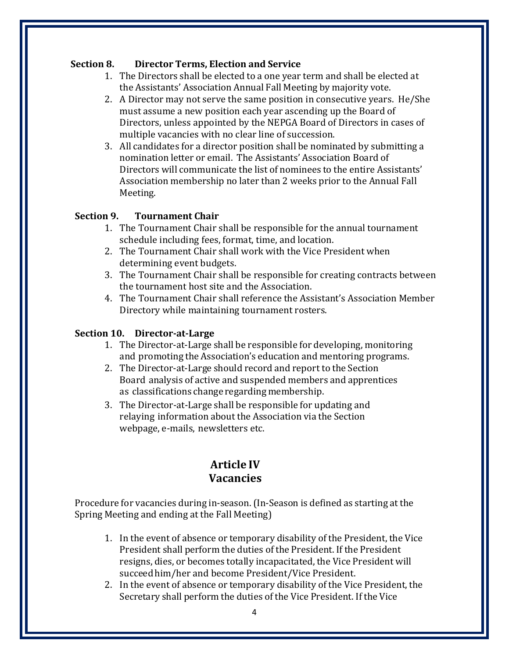#### **Section 8. Director Terms, Election and Service**

- 1. The Directors shall be elected to a one year term and shall be elected at the Assistants' Association Annual Fall Meeting by majority vote.
- 2. A Director may not serve the same position in consecutive years. He/She must assume a new position each year ascending up the Board of Directors, unless appointed by the NEPGA Board of Directors in cases of multiple vacancies with no clear line of succession.
- 3. All candidates for a director position shall be nominated by submitting a nomination letter or email. The Assistants' Association Board of Directors will communicate the list of nominees to the entire Assistants' Association membership no later than 2 weeks prior to the Annual Fall Meeting.

#### **Section 9. Tournament Chair**

- 1. The Tournament Chair shall be responsible for the annual tournament schedule including fees, format, time, and location.
- 2. The Tournament Chair shall work with the Vice President when determining event budgets.
- 3. The Tournament Chair shall be responsible for creating contracts between the tournament host site and the Association.
- 4. The Tournament Chair shall reference the Assistant's Association Member Directory while maintaining tournament rosters.

#### **Section 10. Director-at-Large**

- 1. The Director‐at‐Large shall be responsible for developing, monitoring and promoting the Association's education and mentoring programs.
- 2. The Director‐at‐Large should record and report to the Section Board analysis of active and suspended members and apprentices as classifications change regarding membership.
- 3. The Director‐at‐Large shall be responsible for updating and relaying information about the Association via the Section webpage, e‐mails, newsletters etc.

## **Article IV Vacancies**

Procedure for vacancies during in‐season. (In‐Season is defined as starting at the Spring Meeting and ending at the Fall Meeting)

- 1. In the event of absence or temporary disability of the President, the Vice President shall perform the duties of the President. If the President resigns, dies, or becomes totally incapacitated, the Vice President will succeed him/her and become President/Vice President.
- 2. In the event of absence or temporary disability of the Vice President, the Secretary shall perform the duties of the Vice President. If the Vice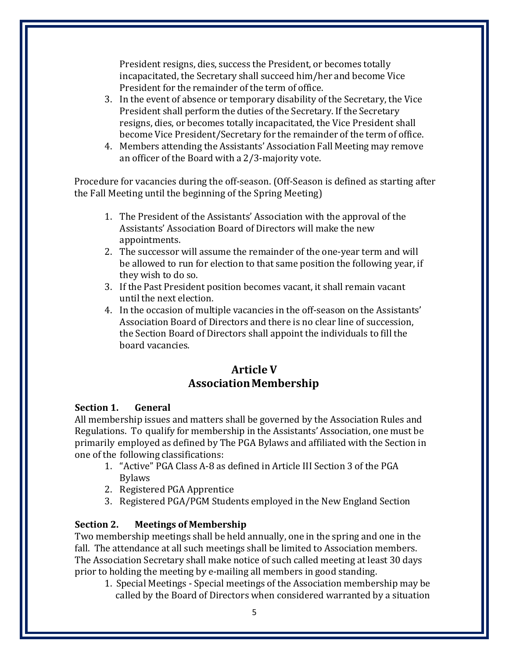President resigns, dies, success the President, or becomes totally incapacitated, the Secretary shall succeed him/her and become Vice President for the remainder of the term of office.

- 3. In the event of absence or temporary disability of the Secretary, the Vice President shall perform the duties of the Secretary. If the Secretary resigns, dies, or becomes totally incapacitated, the Vice President shall become Vice President/Secretary for the remainder of the term of office.
- 4. Members attending the Assistants' Association Fall Meeting may remove an officer of the Board with a 2/3‐majority vote.

Procedure for vacancies during the off-season. (Off-Season is defined as starting after the Fall Meeting until the beginning of the Spring Meeting)

- 1. The President of the Assistants' Association with the approval of the Assistants' Association Board of Directors will make the new appointments.
- 2. The successor will assume the remainder of the one-year term and will be allowed to run for election to that same position the following year, if they wish to do so.
- 3. If the Past President position becomes vacant, it shall remain vacant until the next election.
- 4. In the occasion of multiple vacancies in the off-season on the Assistants' Association Board of Directors and there is no clear line of succession, the Section Board of Directors shall appoint the individuals to fill the board vacancies.

## **Article V AssociationMembership**

#### **Section 1. General**

All membership issues and matters shall be governed by the Association Rules and Regulations. To qualify for membership in the Assistants' Association, one must be primarily employed as defined by The PGA Bylaws and affiliated with the Section in one of the following classifications:

- 1. "Active" PGA Class A‐8 as defined in Article III Section 3 of the PGA Bylaws
- 2. Registered PGA Apprentice
- 3. Registered PGA/PGM Students employed in the New England Section

## **Section 2. Meetings of Membership**

Two membership meetings shall be held annually, one in the spring and one in the fall. The attendance at all such meetings shall be limited to Association members. The Association Secretary shall make notice of such called meeting at least 30 days prior to holding the meeting by e‐mailing all members in good standing.

1. Special Meetings ‐ Special meetings of the Association membership may be called by the Board of Directors when considered warranted by a situation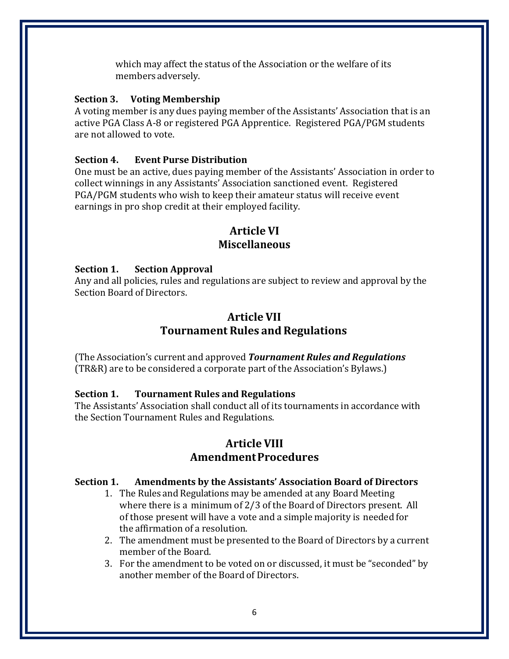which may affect the status of the Association or the welfare of its members adversely.

#### **Section 3. Voting Membership**

A voting member is any dues paying member of the Assistants' Association that is an active PGA Class A-8 or registered PGA Apprentice. Registered PGA/PGM students are not allowed to vote.

#### **Section 4. Event Purse Distribution**

One must be an active, dues paying member of the Assistants' Association in order to collect winnings in any Assistants' Association sanctioned event. Registered PGA/PGM students who wish to keep their amateur status will receive event earnings in pro shop credit at their employed facility.

## **Article VI Miscellaneous**

#### **Section 1. Section Approval**

Any and all policies, rules and regulations are subject to review and approval by the Section Board of Directors.

## **Article VII Tournament Rules and Regulations**

(The Association's current and approved *Tournament Rules and Regulations* (TR&R) are to be considered a corporate part of the Association's Bylaws.)

#### **Section 1. Tournament Rules and Regulations**

The Assistants' Association shall conduct all of its tournaments in accordance with the Section Tournament Rules and Regulations.

## **Article VIII AmendmentProcedures**

#### **Section 1. Amendments by the Assistants' Association Board of Directors**

- 1. The Rules and Regulations may be amended at any Board Meeting where there is a minimum of 2/3 of the Board of Directors present. All of those present will have a vote and a simple majority is needed for the affirmation of a resolution.
- 2. The amendment must be presented to the Board of Directors by a current member of the Board.
- 3. For the amendment to be voted on or discussed, it must be "seconded" by another member of the Board of Directors.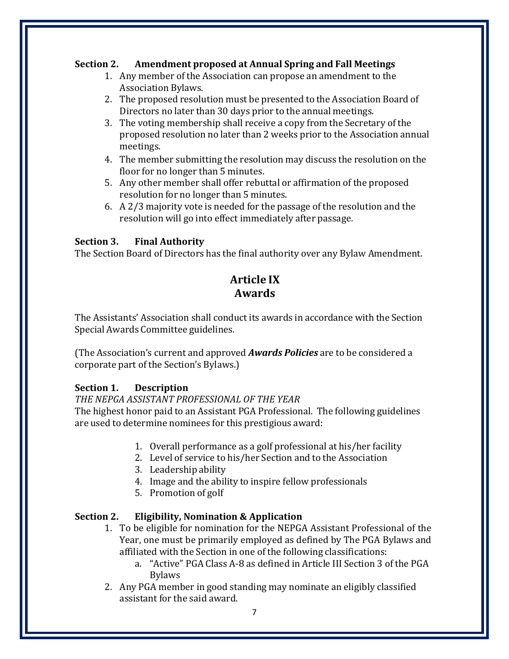#### **Section 2. Amendment proposed at Annual Spring and Fall Meetings**

- 1. Any member of the Association can propose an amendment to the Association Bylaws.
- 2. The proposed resolution must be presented to the Association Board of Directors no later than 30 days prior to the annual meetings.
- 3. The voting membership shall receive a copy from the Secretary of the proposed resolution no later than 2 weeks prior to the Association annual meetings.
- 4. The member submitting the resolution may discuss the resolution on the floor for no longer than 5 minutes.
- 5. Any other member shall offer rebuttal or affirmation of the proposed resolution for no longer than 5 minutes.
- 6. A 2/3 majority vote is needed for the passage of the resolution and the resolution will go into effect immediately after passage.

#### **Section 3. Final Authority**

The Section Board of Directors has the final authority over any Bylaw Amendment.

## **Article IX Awards**

The Assistants' Association shall conduct its awards in accordance with the Section Special Awards Committee guidelines.

(The Association's current and approved *Awards Policies* are to be considered a corporate part of the Section's Bylaws.)

#### **Section 1. Description**

#### *THE NEPGA ASSISTANT PROFESSIONAL OF THE YEAR*

The highest honor paid to an Assistant PGA Professional. The following guidelines are used to determine nominees for this prestigious award:

- 1. Overall performance as a golf professional at his/her facility
- 2. Level of service to his/her Section and to the Association
- 3. Leadership ability
- 4. Image and the ability to inspire fellow professionals
- 5. Promotion of golf

#### **Section 2. Eligibility, Nomination & Application**

- 1. To be eligible for nomination for the NEPGA Assistant Professional of the Year, one must be primarily employed as defined by The PGA Bylaws and affiliated with the Section in one of the following classifications:
	- a. "Active" PGA Class A‐8 as defined in Article III Section 3 of the PGA Bylaws
- 2. Any PGA member in good standing may nominate an eligibly classified assistant for the said award.